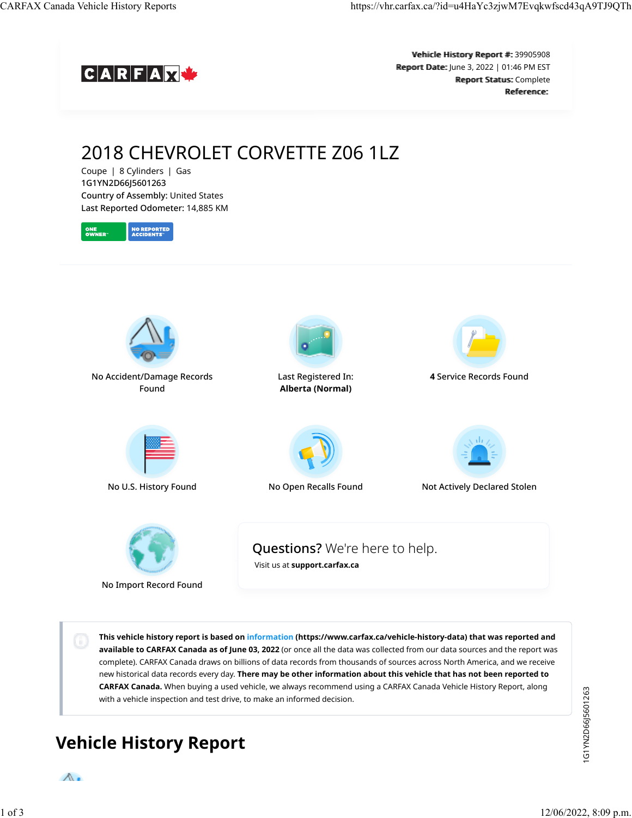

Vehiicle Hiistory Report #:: 39905908 Report Date: June 3, 2022 | 01:46 PM EST Report Status: Complete Reference<sup>.</sup>

# 2018 CHEVROLET CORVETTE Z06 1LZ

Coupe | 8 Cylinders | Gas 1G1YN2D66J5601263 Country of Assembly: United States Last Reported Odometer: 14,885 KM





No Acc[ident/Damage R](https://vhr.carfax.ca/?id=u4HaYc3zjwM7Evqkwfscd43qA9TJ9QTh#accident-damage-section)ecords Found



L[ast Registered In](https://vhr.carfax.ca/?id=u4HaYc3zjwM7Evqkwfscd43qA9TJ9QTh#registration-section): **Alberta (Normal)**



**4** Se[rvice Records Fo](https://vhr.carfax.ca/?id=u4HaYc3zjwM7Evqkwfscd43qA9TJ9QTh#service-history-section)und







No U.S. History Found No [Open Recalls Fou](https://vhr.carfax.ca/?id=u4HaYc3zjwM7Evqkwfscd43qA9TJ9QTh#recalls-section)nd Not A[ctively Declared](https://vhr.carfax.ca/?id=u4HaYc3zjwM7Evqkwfscd43qA9TJ9QTh#stolen-section) Stolen



No Import Record Found

Questions? We're here to help.

[Visit us at](https://support.carfax.ca/en/support/home) **[support.carfax.ca](https://support.carfax.ca/en/support/home)**

**This vehicle history report is based on [information](https://www.carfax.ca/vehicle-history-data) (https://www.carfax.ca/vehicle-history-data) that was reported and available to CARFAX Canada as of June 03, 2022** (or once all the data was collected from our data sources and the report was complete). CARFAX Canada draws on billions of data records from thousands of sources across North America, and we receive new historical data records every day. **There may be other information about this vehicle that has not been reported to CARFAX Canada.** When buying a used vehicle, we always recommend using a CARFAX Canada Vehicle History Report, along with a vehicle inspection and test drive, to make an informed decision.

# **Vehicle History Report**

1G1YN2D66J5601263 1G1YN2D66J5601263

 $\Lambda$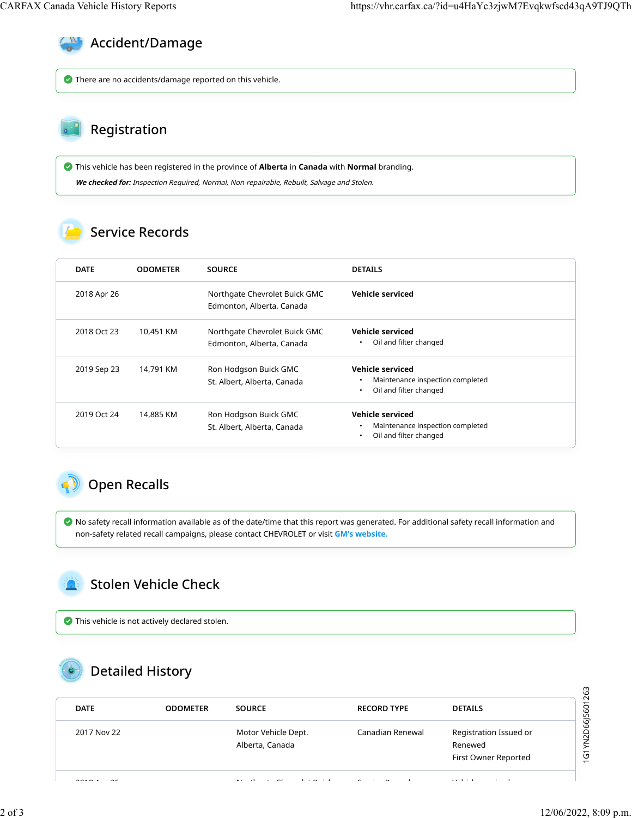

There are no accidents/damage reported on this vehicle.

#### Registration

 This vehicle has been registered in the province of **Alberta** in **Canada** with **Normal** branding. **We checked for:** Inspection Required, Normal, Non-repairable, Rebuilt, Salvage and Stolen.

#### Service Records

| <b>DATE</b> |             | <b>ODOMETER</b> | <b>SOURCE</b>                                              | <b>DETAILS</b>                                                                              |
|-------------|-------------|-----------------|------------------------------------------------------------|---------------------------------------------------------------------------------------------|
|             | 2018 Apr 26 |                 | Northgate Chevrolet Buick GMC<br>Edmonton, Alberta, Canada | Vehicle serviced                                                                            |
|             | 2018 Oct 23 | 10,451 KM       | Northgate Chevrolet Buick GMC<br>Edmonton, Alberta, Canada | Vehicle serviced<br>Oil and filter changed<br>٠                                             |
|             | 2019 Sep 23 | 14,791 KM       | Ron Hodgson Buick GMC<br>St. Albert, Alberta, Canada       | Vehicle serviced<br>Maintenance inspection completed<br>Oil and filter changed<br>$\bullet$ |
|             | 2019 Oct 24 | 14,885 KM       | Ron Hodgson Buick GMC<br>St. Albert, Alberta, Canada       | Vehicle serviced<br>Maintenance inspection completed<br>Oil and filter changed<br>$\bullet$ |

## **D** Open Recalls

 No safety recall information available as of the date/time that this report was generated. For additional safety recall information and non-safety related recall campaigns, please contact CHEVROLET or visit **[GM's website.](https://my.gm.ca/gm/en/recalls#%2F)**

## Stolen Vehicle Check

This vehicle is not actively declared stolen.

### Detailed History

| <b>DATE</b> | <b>ODOMETER</b> | <b>SOURCE</b>                          | <b>RECORD TYPE</b> | <b>DETAILS</b>                                            | 263<br>601                                         |
|-------------|-----------------|----------------------------------------|--------------------|-----------------------------------------------------------|----------------------------------------------------|
| 2017 Nov 22 |                 | Motor Vehicle Dept.<br>Alberta, Canada | Canadian Renewal   | Registration Issued or<br>Renewed<br>First Owner Reported | N2D6615<br>$\geq$<br>ט<br>$\overline{\phantom{0}}$ |
|             |                 | $\sim$ $\sim$                          |                    | .                                                         |                                                    |